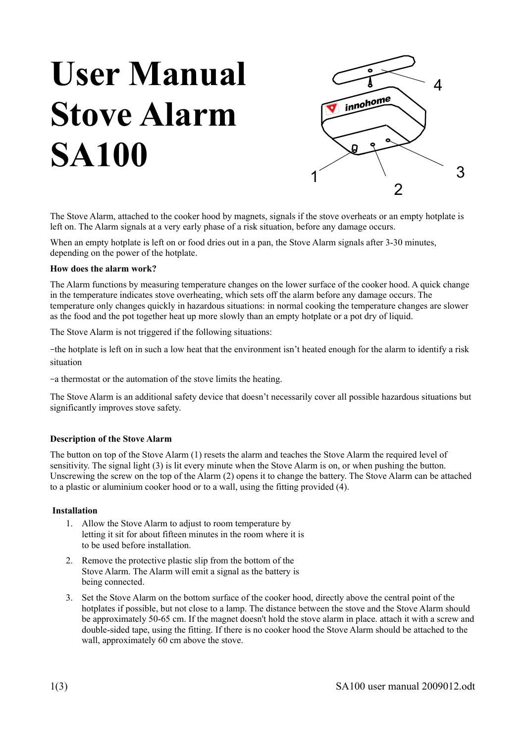# **User Manual Stove Alarm SA100**



The Stove Alarm, attached to the cooker hood by magnets, signals if the stove overheats or an empty hotplate is left on. The Alarm signals at a very early phase of a risk situation, before any damage occurs.

When an empty hotplate is left on or food dries out in a pan, the Stove Alarm signals after 3-30 minutes, depending on the power of the hotplate.

#### **How does the alarm work?**

The Alarm functions by measuring temperature changes on the lower surface of the cooker hood. A quick change in the temperature indicates stove overheating, which sets off the alarm before any damage occurs. The temperature only changes quickly in hazardous situations: in normal cooking the temperature changes are slower as the food and the pot together heat up more slowly than an empty hotplate or a pot dry of liquid.

The Stove Alarm is not triggered if the following situations:

–the hotplate is left on in such a low heat that the environment isn't heated enough for the alarm to identify a risk situation

–a thermostat or the automation of the stove limits the heating.

The Stove Alarm is an additional safety device that doesn't necessarily cover all possible hazardous situations but significantly improves stove safety.

### **Description of the Stove Alarm**

The button on top of the Stove Alarm (1) resets the alarm and teaches the Stove Alarm the required level of sensitivity. The signal light (3) is lit every minute when the Stove Alarm is on, or when pushing the button. Unscrewing the screw on the top of the Alarm (2) opens it to change the battery. The Stove Alarm can be attached to a plastic or aluminium cooker hood or to a wall, using the fitting provided (4).

### **Installation**

- 1. Allow the Stove Alarm to adjust to room temperature by letting it sit for about fifteen minutes in the room where it is to be used before installation.
- 2. Remove the protective plastic slip from the bottom of the Stove Alarm. The Alarm will emit a signal as the battery is being connected.
- 3. Set the Stove Alarm on the bottom surface of the cooker hood, directly above the central point of the hotplates if possible, but not close to a lamp. The distance between the stove and the Stove Alarm should be approximately 50-65 cm. If the magnet doesn't hold the stove alarm in place. attach it with a screw and double-sided tape, using the fitting. If there is no cooker hood the Stove Alarm should be attached to the wall, approximately 60 cm above the stove.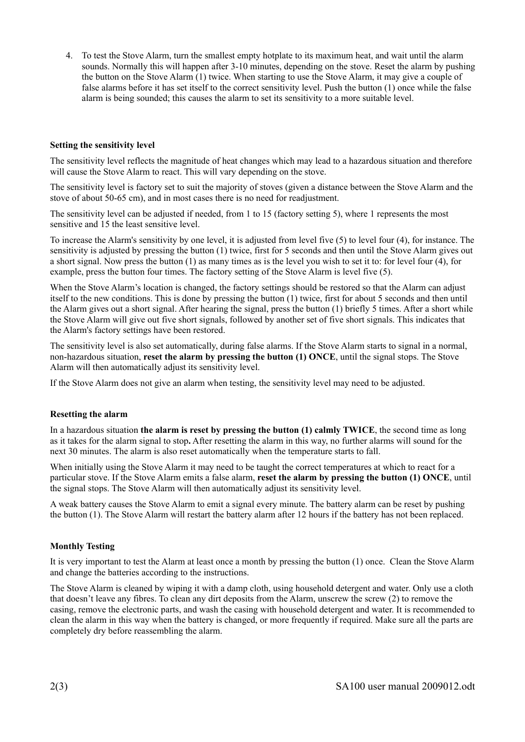4. To test the Stove Alarm, turn the smallest empty hotplate to its maximum heat, and wait until the alarm sounds. Normally this will happen after 3-10 minutes, depending on the stove. Reset the alarm by pushing the button on the Stove Alarm (1) twice. When starting to use the Stove Alarm, it may give a couple of false alarms before it has set itself to the correct sensitivity level. Push the button (1) once while the false alarm is being sounded; this causes the alarm to set its sensitivity to a more suitable level.

### **Setting the sensitivity level**

The sensitivity level reflects the magnitude of heat changes which may lead to a hazardous situation and therefore will cause the Stove Alarm to react. This will vary depending on the stove.

The sensitivity level is factory set to suit the majority of stoves (given a distance between the Stove Alarm and the stove of about 50-65 cm), and in most cases there is no need for readjustment.

The sensitivity level can be adjusted if needed, from 1 to 15 (factory setting 5), where 1 represents the most sensitive and 15 the least sensitive level.

To increase the Alarm's sensitivity by one level, it is adjusted from level five (5) to level four (4), for instance. The sensitivity is adjusted by pressing the button (1) twice, first for 5 seconds and then until the Stove Alarm gives out a short signal. Now press the button (1) as many times as is the level you wish to set it to: for level four (4), for example, press the button four times. The factory setting of the Stove Alarm is level five (5).

When the Stove Alarm's location is changed, the factory settings should be restored so that the Alarm can adjust itself to the new conditions. This is done by pressing the button (1) twice, first for about 5 seconds and then until the Alarm gives out a short signal. After hearing the signal, press the button (1) briefly 5 times. After a short while the Stove Alarm will give out five short signals, followed by another set of five short signals. This indicates that the Alarm's factory settings have been restored.

The sensitivity level is also set automatically, during false alarms. If the Stove Alarm starts to signal in a normal, non-hazardous situation, **reset the alarm by pressing the button (1) ONCE**, until the signal stops. The Stove Alarm will then automatically adjust its sensitivity level.

If the Stove Alarm does not give an alarm when testing, the sensitivity level may need to be adjusted.

### **Resetting the alarm**

In a hazardous situation **the alarm is reset by pressing the button (1) calmly TWICE**, the second time as long as it takes for the alarm signal to stop**.** After resetting the alarm in this way, no further alarms will sound for the next 30 minutes. The alarm is also reset automatically when the temperature starts to fall.

When initially using the Stove Alarm it may need to be taught the correct temperatures at which to react for a particular stove. If the Stove Alarm emits a false alarm, **reset the alarm by pressing the button (1) ONCE**, until the signal stops. The Stove Alarm will then automatically adjust its sensitivity level.

A weak battery causes the Stove Alarm to emit a signal every minute. The battery alarm can be reset by pushing the button (1). The Stove Alarm will restart the battery alarm after 12 hours if the battery has not been replaced.

### **Monthly Testing**

It is very important to test the Alarm at least once a month by pressing the button (1) once. Clean the Stove Alarm and change the batteries according to the instructions.

The Stove Alarm is cleaned by wiping it with a damp cloth, using household detergent and water. Only use a cloth that doesn't leave any fibres. To clean any dirt deposits from the Alarm, unscrew the screw (2) to remove the casing, remove the electronic parts, and wash the casing with household detergent and water. It is recommended to clean the alarm in this way when the battery is changed, or more frequently if required. Make sure all the parts are completely dry before reassembling the alarm.